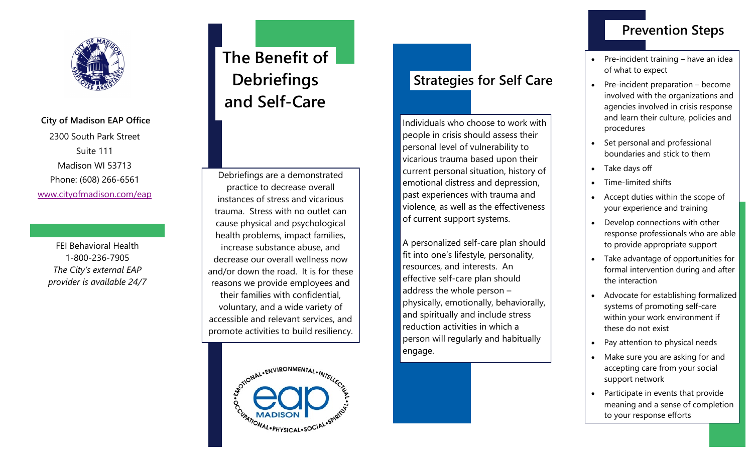

#### **City of Madison EAP Office**

2300 South Park Street Suite 111 Madison WI 53713 Phone: (608) 266 -6561 [www.cityofmadison.com/eap](http://www.cityofmadison.com/employee-assistance-program)

FEI Behavioral Health 1-800-236-7905 *The City 's external EAP provider is available 24/7*

# **The Benefit of Debriefings and Self -Care**

Debriefings are a demonstrated practice to decrease overall instances of stress and vicarious trauma. Stress with no outlet can cause physical and psychological health problems, impact families, increase substance abuse, and decrease our overall wellness now and/or down the road. It is for these reasons we provide employees and their families with confidential, voluntary, and a wide variety of accessible and relevant services, and promote activities to build resiliency.



#### **Strategies for Self Care**

Individuals who choose to work with people in crisis should assess their personal level of vulnerability to vicarious trauma based upon their current personal situation, history of emotional distress and depression, past experiences with trauma and violence, as well as the effectiveness of current support systems.

A personalized self -care plan should fit into one 's lifestyle, personality, resources, and interests. An effective self -care plan should address the whole person – physically, emotionally, behaviorally, and spiritually and include stress reduction activities in which a person will regularly and habitually engage.

# **Prevention Steps**

- Pre-incident training have an idea of what to expect
- Pre-incident preparation become involved with the organizations and agencies involved in crisis response and learn their culture, policies and procedures
- Set personal and professional boundaries and stick to them
- Take days off
- Time-limited shifts
- Accept duties within the scope of your experience and training
- Develop connections with other response professionals who are able to provide appropriate support
- Take advantage of opportunities for formal intervention during and after the interaction
- Advocate for establishing formalized systems of promoting self -care within your work environment if these do not exist
- Pay attention to physical needs
- Make sure you are asking for and accepting care from your social support network
- Participate in events that provide meaning and a sense of completion to your response efforts